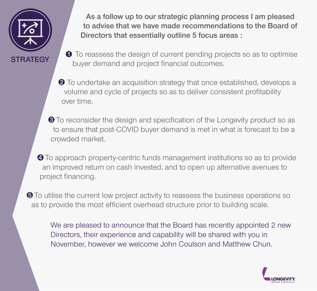

As a follow up to our strategic planning process I am pleased to advise that we have made recommendations to the Board of Directors that essentially outline 5 focus areas :

- $\bullet$  To reassess the design of current pending projects so as to optimise buyer demand and project financial outcomes.
- **2** To undertake an acquisition strategy that once established, develops a volume and cycle of projects so as to deliver consistent profitability over time.
- $\bullet$  To reconsider the design and specification of the Longevity product so as to ensure that post-COVID buyer demand is met in what is forecast to be a crowded market.
- **<sup>4</sup>** To approach property-centric funds management institutions so as to provide an improved return on cash invested, and to open up alternative avenues to project financing.
- **O** To utilise the current low project activity to reassess the business operations so as to provide the most efficient overhead structure prior to building scale.

We are pleased to announce that the Board has recently appointed 2 new Directors, their experience and capability will be shared with you in November, however we welcome John Coulson and Matthew Chun.

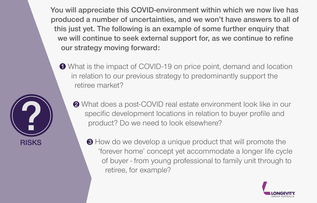You will appreciate this COVID-environment within which we now live has produced a number of uncertainties, and we won't have answers to all of this just yet. The following is an example of some further enquiry that we will continue to seek external support for, as we continue to refine our strategy moving forward:

What is the impact of COVID-19 on price point, demand and location in relation to our previous strategy to predominantly support the retiree market?



 $\bigcirc$  How do we develop a unique product that will promote the 'forever home' concept yet accommodate a longer life cycle of buyer - from young professional to family unit through to retiree, for example?